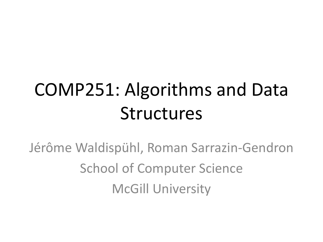## COMP251: Algorithms and Data Structures

Jérôme Waldispühl, Roman Sarrazin-Gendron School of Computer Science McGill University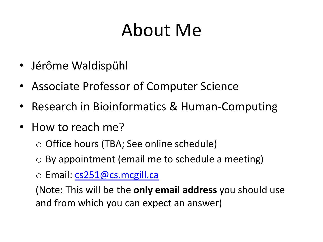## About Me

- Jérôme [Waldispühl](mailto:cs251@cs.mcgill.ca)
- Associate Professor of Computer Science
- Research in Bioinformatics & Human-Computing
- How to reach me?
	- o Office hours (TBA; See online schedule)
	- $\circ$  By appointment (email me to schedule a meeting)
	- o Email: cs251@cs.mcgill.ca

(Note: This will be the only email address you should us and from which you can expect an answer)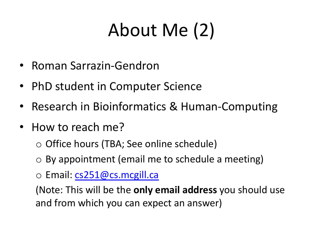## About Me (2)

- Roman [Sarrazin-Gendron](mailto:cs251@cs.mcgill.ca)
- PhD student in Computer Science
- Research in Bioinformatics & Human-Computing
- How to reach me?
	- o Office hours (TBA; See online schedule)
	- $\circ$  By appointment (email me to schedule a meeting)
	- o Email: cs251@cs.mcgill.ca

(Note: This will be the only email address you should us and from which you can expect an answer)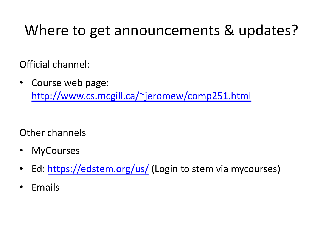#### Where to get announcements & updat

Offici[al channel:](https://edstem.org/us/)

• Course web page: http://www.cs.mcgill.ca/~jeromew/comp251.html

Other channels

- MyCourses
- Ed: https://edstem.org/us/ (Login to stem via mycourses
- **Emails**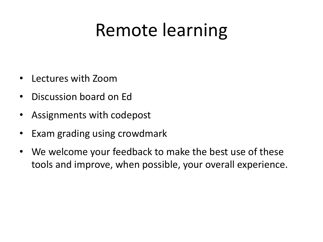#### Remote learning

- Lectures with Zoom
- Discussion board on Ed
- Assignments with codepost
- Exam grading using crowdmark
- We welcome your feedback to make the best use of these tools and improve, when possible, your overall experience.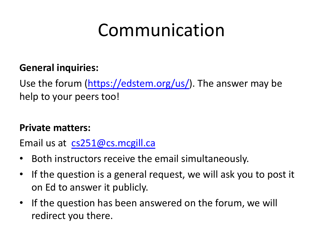## [Commu](mailto:cs251@cs.mcgill.ca)nication

#### **General inquiries:**

Use the forum (https://edstem.org/us/). The answer may b help to your peers too!

#### **Private matters:**

Email us at cs251@cs.mcgill.ca

- Both instructors receive the email simultaneously.
- If the question is a general request, we will ask you to po on Ed to answer it publicly.
- If the question has been answered on the forum, we will redirect you there.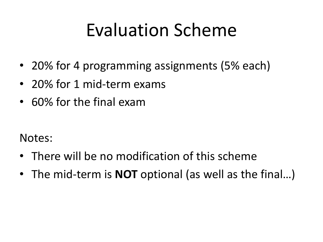#### Evaluation Scheme

- 20% for 4 programming assignments (5% each)
- 20% for 1 mid-term exams
- 60% for the final exam

Notes:

- There will be no modification of this scheme
- The mid-term is **NOT** optional (as well as the final…)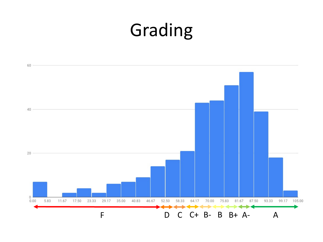#### Grading

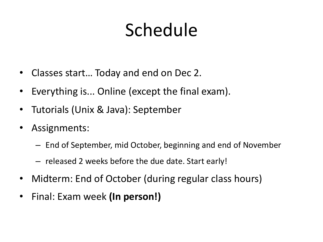## Schedule

- Classes start… Today and end on Dec 2.
- Everything is... Online (except the final exam).
- Tutorials (Unix & Java): September
- Assignments:
	- End of September, mid October, beginning and end of November
	- released 2 weeks before the due date. Start early!
- Midterm: End of October (during regular class hours)
- Final: Exam week **(In person!)**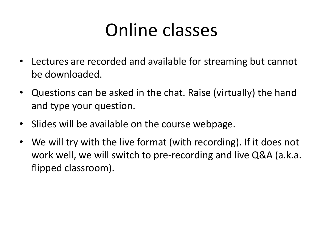#### Online classes

- Lectures are recorded and available for streaming but cannot be downloaded.
- Questions can be asked in the chat. Raise (virtually) the hand and type your question.
- Slides will be available on the course webpage.
- We will try with the live format (with recording). If it does not work well, we will switch to pre-recording and live Q&A (a.k.a. flipped classroom).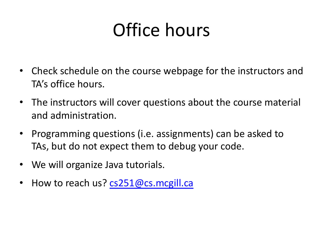## Office hours

- Check schedule o[n the course webpag](mailto:cs251@cs.mcgill.ca)e for the instructors TA's office hours.
- The instructors will cover questions about the course material and administration.
- Programming questions (i.e. assignments) can be asked TAs, but do not expect them to debug your code.
- We will organize Java tutorials.
- How to reach us? cs251@cs.mcgill.ca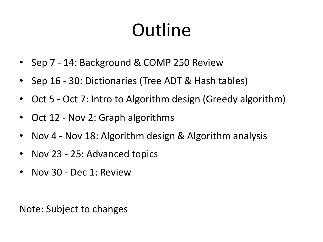### **Outline**

- Sep 7 14: Background & COMP 250 Review
- Sep 16 30: Dictionaries (Tree ADT & Hash tables)
- Oct 5 Oct 7: Intro to Algorithm design (Greedy algorithm)
- Oct 12 Nov 2: Graph algorithms
- Nov 4 Nov 18: Algorithm design & Algorithm analysis
- Nov 23 25: Advanced topics
- Nov 30 Dec 1: Review

Note: Subject to changes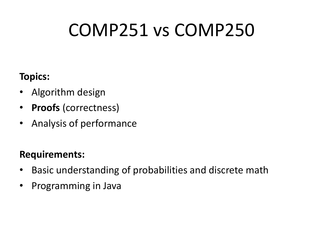### COMP251 vs COMP250

#### **Topics:**

- Algorithm design
- **Proofs** (correctness)
- Analysis of performance

#### **Requirements:**

- Basic understanding of probabilities and discrete math
- Programming in Java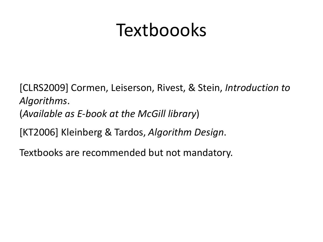#### Textboooks

[CLRS2009] Cormen, Leiserson, Rivest, & Stein, *Introduction to Algorithms*. (*Available as E-book at the McGill library*) [KT2006] Kleinberg & Tardos, *Algorithm Design*.

Textbooks are recommended but not mandatory.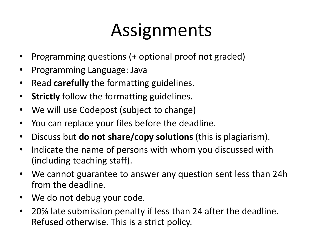#### Assignments

- Programming questions (+ optional proof not graded)
- Programming Language: Java
- Read **carefully** the formatting guidelines.
- **Strictly** follow the formatting guidelines.
- We will use Codepost (subject to change)
- You can replace your files before the deadline.
- Discuss but **do not share/copy solutions** (this is plagiarism).
- Indicate the name of persons with whom you discussed with (including teaching staff).
- We cannot guarantee to answer any question sent less than 24h from the deadline.
- We do not debug your code.
- 20% late submission penalty if less than 24 after the deadline. Refused otherwise. This is a strict policy.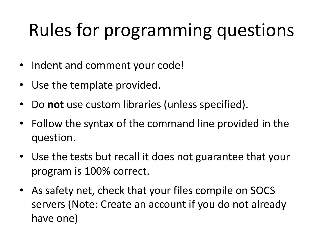## Rules for programming questions

- Indent and comment your code!
- Use the template provided.
- Do **not** use custom libraries (unless specified).
- Follow the syntax of the command line provided in the question.
- Use the tests but recall it does not guarantee that your program is 100% correct.
- As safety net, check that your files compile on SOCS servers (Note: Create an account if you do not already have one)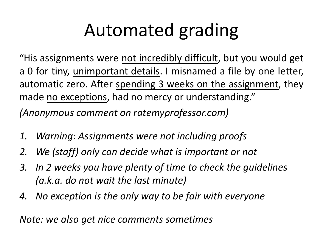### Automated grading

"His assignments were not incredibly difficult, but you would get a 0 for tiny, unimportant details. I misnamed a file by one letter, automatic zero. After spending 3 weeks on the assignment, they made no exceptions, had no mercy or understanding." *(Anonymous comment on ratemyprofessor.com)*

- *1. Warning: Assignments were not including proofs*
- *2. We (staff) only can decide what is important or not*
- *3. In 2 weeks you have plenty of time to check the guidelines (a.k.a. do not wait the last minute)*
- *4. No exception is the only way to be fair with everyone*

*Note: we also get nice comments sometimes*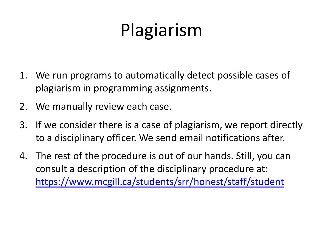# Plagiarism

- 1. We run programs to automatically detect possible case plagiarism in programming assignments.
- 2. We manually review each case.
- 3. If we consider there is a case of plagiarism, we report of to a disciplinary officer. We send email notifications aft
- 4. The rest of the procedure is out of our hands. Still, you consult a description of the disciplinary procedure at: https://www.mcgill.ca/students/srr/honest/staff/stude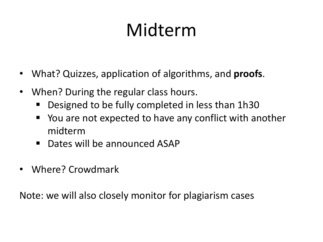## Midterm

- What? Quizzes, application of algorithms, and **proofs**.
- When? During the regular class hours.
	- § Designed to be fully completed in less than 1h30
	- § You are not expected to have any conflict with another midterm
	- Dates will be announced ASAP
- Where? Crowdmark

Note: we will also closely monitor for plagiarism cases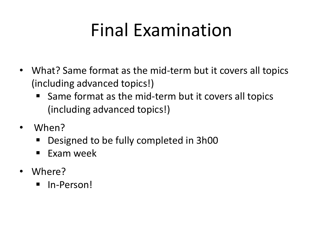#### Final Examination

- What? Same format as the mid-term but it covers all topics (including advanced topics!)
	- Same format as the mid-term but it covers all topics (including advanced topics!)
- When?
	- § Designed to be fully completed in 3h00
	- Exam week
- Where?
	- § In-Person!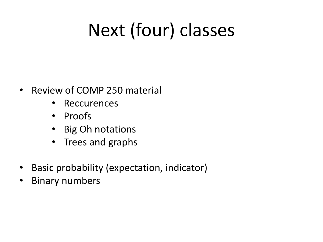## Next (four) classes

- Review of COMP 250 material
	- Reccurences
	- Proofs
	- Big Oh notations
	- Trees and graphs
- Basic probability (expectation, indicator)
- Binary numbers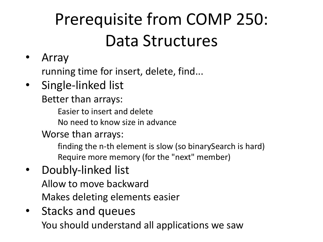#### Prerequisite from COMP 250: Data Structures

• Array

running time for insert, delete, find...

• Single-linked list

Better than arrays:

Easier to insert and delete

No need to know size in advance

Worse than arrays:

finding the n-th element is slow (so binarySearch is hard) Require more memory (for the "next" member)

- Doubly-linked list Allow to move backward Makes deleting elements easier
- Stacks and queues You should understand all applications we saw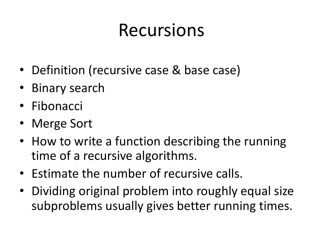#### Recursions

- Definition (recursive case & base case)
- Binary search
- Fibonacci
- Merge Sort
- How to write a function describing the running time of a recursive algorithms.
- Estimate the number of recursive calls.
- Dividing original problem into roughly equal size subproblems usually gives better running times.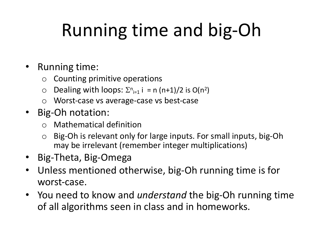## Running time and big-Oh

#### • Running time:

- $\circ$  Counting primitive operations
- $\circ$  Dealing with loops:  $\Sigma_{n=1}^{n}$  i = n (n+1)/2 is O(n<sup>2</sup>)
- o Worst-case vs average-case vs best-case
- Big-Oh notation:
	- o Mathematical definition
	- o Big-Oh is relevant only for large inputs. For small inputs, big-Oh may be irrelevant (remember integer multiplications)
- Big-Theta, Big-Omega
- Unless mentioned otherwise, big-Oh running time is for worst-case.
- You need to know and *understand* the big-Oh running time of all algorithms seen in class and in homeworks.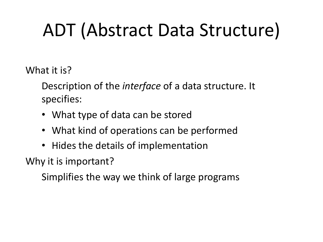## ADT (Abstract Data Structure)

What it is?

Description of the *interface* of a data structure. It specifies:

- What type of data can be stored
- What kind of operations can be performed
- Hides the details of implementation

Why it is important?

Simplifies the way we think of large programs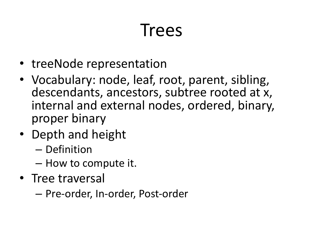#### **Trees**

- treeNode representation
- Vocabulary: node, leaf, root, parent, sibling, descendants, ancestors, subtree rooted at x, internal and external nodes, ordered, binary, proper binary
- Depth and height
	- Definition
	- How to compute it.
- Tree traversal
	- Pre-order, In-order, Post-order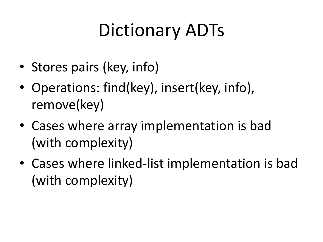### Dictionary ADTs

- Stores pairs (key, info)
- Operations: find(key), insert(key, info), remove(key)
- Cases where array implementation is bad (with complexity)
- Cases where linked-list implementation is bad (with complexity)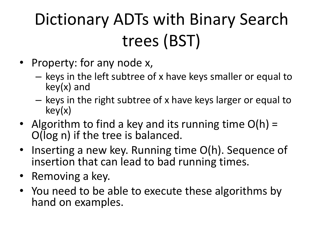### Dictionary ADTs with Binary Search trees (BST)

- Property: for any node x,
	- keys in the left subtree of x have keys smaller or equal to key(x) and
	- keys in the right subtree of x have keys larger or equal to key(x)
- Algorithm to find a key and its running time  $O(h)$  = O(log n) if the tree is balanced.
- Inserting a new key. Running time O(h). Sequence of insertion that can lead to bad running times.
- Removing a key.
- You need to be able to execute these algorithms by hand on examples.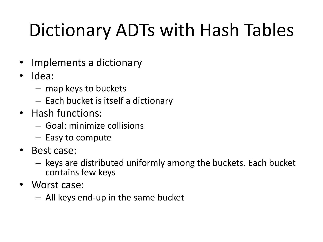## Dictionary ADTs with Hash Tables

- Implements a dictionary
- Idea:
	- map keys to buckets
	- Each bucket is itself a dictionary
- Hash functions:
	- Goal: minimize collisions
	- Easy to compute
- Best case:
	- keys are distributed uniformly among the buckets. Each bucket contains few keys
- Worst case:
	- All keys end-up in the same bucket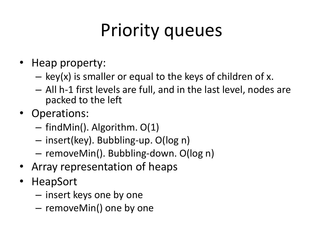## Priority queues

- Heap property:
	- $-$  key(x) is smaller or equal to the keys of children of x.
	- All h-1 first levels are full, and in the last level, nodes are packed to the left
- Operations:
	- findMin(). Algorithm. O(1)
	- insert(key). Bubbling-up. O(log n)
	- removeMin(). Bubbling-down. O(log n)
- Array representation of heaps
- HeapSort
	- insert keys one by one
	- removeMin() one by one